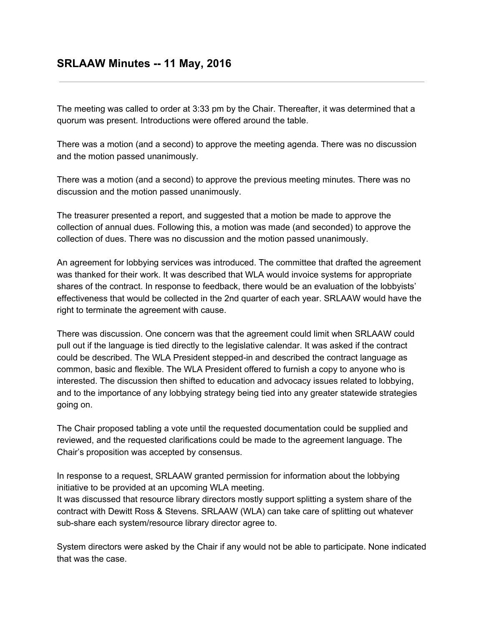The meeting was called to order at 3:33 pm by the Chair. Thereafter, it was determined that a quorum was present. Introductions were offered around the table.

There was a motion (and a second) to approve the meeting agenda. There was no discussion and the motion passed unanimously.

There was a motion (and a second) to approve the previous meeting minutes. There was no discussion and the motion passed unanimously.

The treasurer presented a report, and suggested that a motion be made to approve the collection of annual dues. Following this, a motion was made (and seconded) to approve the collection of dues. There was no discussion and the motion passed unanimously.

An agreement for lobbying services was introduced. The committee that drafted the agreement was thanked for their work. It was described that WLA would invoice systems for appropriate shares of the contract. In response to feedback, there would be an evaluation of the lobbyists' effectiveness that would be collected in the 2nd quarter of each year. SRLAAW would have the right to terminate the agreement with cause.

There was discussion. One concern was that the agreement could limit when SRLAAW could pull out if the language is tied directly to the legislative calendar. It was asked if the contract could be described. The WLA President stepped-in and described the contract language as common, basic and flexible. The WLA President offered to furnish a copy to anyone who is interested. The discussion then shifted to education and advocacy issues related to lobbying, and to the importance of any lobbying strategy being tied into any greater statewide strategies going on.

The Chair proposed tabling a vote until the requested documentation could be supplied and reviewed, and the requested clarifications could be made to the agreement language. The Chair's proposition was accepted by consensus.

In response to a request, SRLAAW granted permission for information about the lobbying initiative to be provided at an upcoming WLA meeting.

It was discussed that resource library directors mostly support splitting a system share of the contract with Dewitt Ross & Stevens. SRLAAW (WLA) can take care of splitting out whatever sub-share each system/resource library director agree to.

System directors were asked by the Chair if any would not be able to participate. None indicated that was the case.